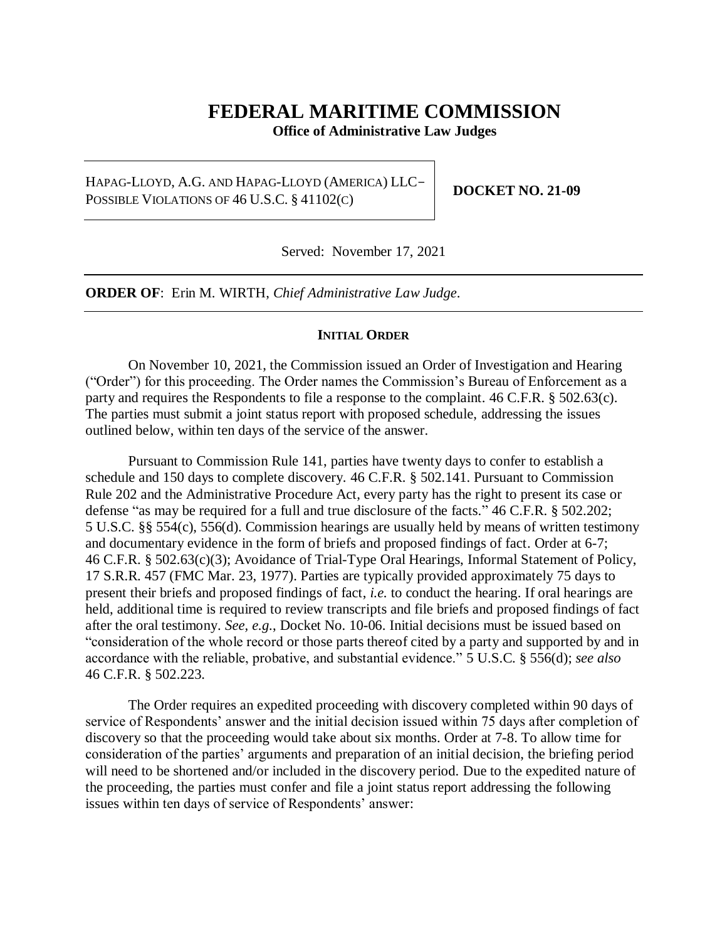# **FEDERAL MARITIME COMMISSION**

**Office of Administrative Law Judges**

HAPAG-LLOYD, A.G. AND HAPAG-LLOYD (AMERICA) LLC-POSSIBLE VIOLATIONS OF 46 U.S.C. § 41102(C)

**DOCKET NO. 21-09**

Served: November 17, 2021

**ORDER OF**: Erin M. WIRTH, *Chief Administrative Law Judge*.

#### **INITIAL ORDER**

On November 10, 2021, the Commission issued an Order of Investigation and Hearing ("Order") for this proceeding. The Order names the Commission's Bureau of Enforcement as a party and requires the Respondents to file a response to the complaint. 46 C.F.R. § 502.63(c). The parties must submit a joint status report with proposed schedule, addressing the issues outlined below, within ten days of the service of the answer.

Pursuant to Commission Rule 141, parties have twenty days to confer to establish a schedule and 150 days to complete discovery. 46 C.F.R. § 502.141. Pursuant to Commission Rule 202 and the Administrative Procedure Act, every party has the right to present its case or defense "as may be required for a full and true disclosure of the facts." 46 C.F.R. § 502.202; 5 U.S.C. §§ 554(c), 556(d). Commission hearings are usually held by means of written testimony and documentary evidence in the form of briefs and proposed findings of fact. Order at 6-7; 46 C.F.R. § 502.63(c)(3); Avoidance of Trial-Type Oral Hearings, Informal Statement of Policy, 17 S.R.R. 457 (FMC Mar. 23, 1977). Parties are typically provided approximately 75 days to present their briefs and proposed findings of fact, *i.e.* to conduct the hearing. If oral hearings are held, additional time is required to review transcripts and file briefs and proposed findings of fact after the oral testimony. *See, e.g.*, Docket No. 10-06. Initial decisions must be issued based on "consideration of the whole record or those parts thereof cited by a party and supported by and in accordance with the reliable, probative, and substantial evidence." 5 U.S.C. § 556(d); *see also* 46 C.F.R. § 502.223.

The Order requires an expedited proceeding with discovery completed within 90 days of service of Respondents' answer and the initial decision issued within 75 days after completion of discovery so that the proceeding would take about six months. Order at 7-8. To allow time for consideration of the parties' arguments and preparation of an initial decision, the briefing period will need to be shortened and/or included in the discovery period. Due to the expedited nature of the proceeding, the parties must confer and file a joint status report addressing the following issues within ten days of service of Respondents' answer: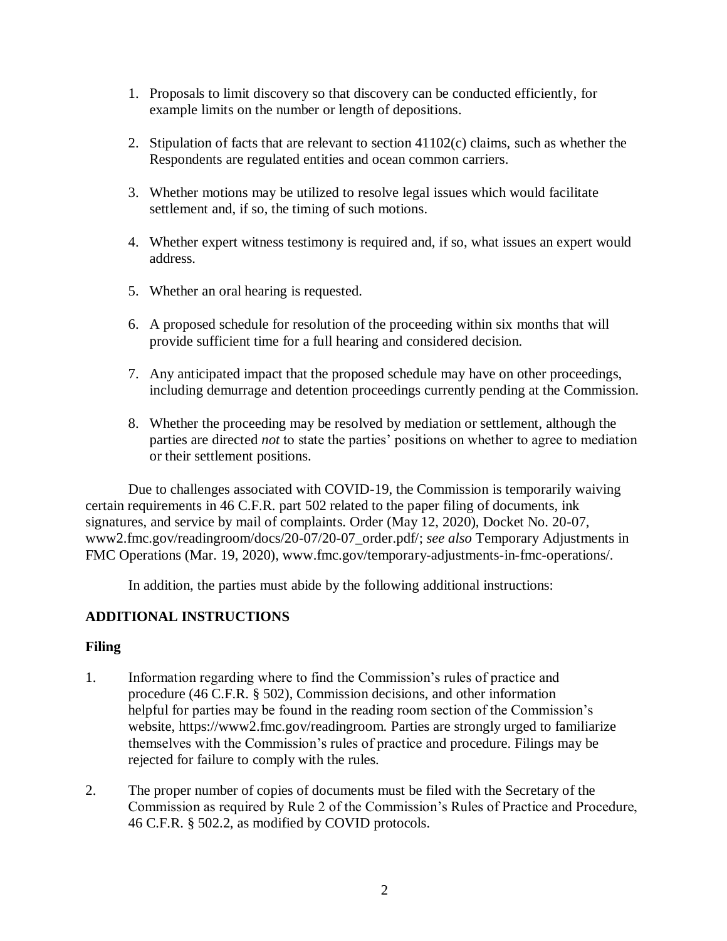- 1. Proposals to limit discovery so that discovery can be conducted efficiently, for example limits on the number or length of depositions.
- 2. Stipulation of facts that are relevant to section 41102(c) claims, such as whether the Respondents are regulated entities and ocean common carriers.
- 3. Whether motions may be utilized to resolve legal issues which would facilitate settlement and, if so, the timing of such motions.
- 4. Whether expert witness testimony is required and, if so, what issues an expert would address.
- 5. Whether an oral hearing is requested.
- 6. A proposed schedule for resolution of the proceeding within six months that will provide sufficient time for a full hearing and considered decision.
- 7. Any anticipated impact that the proposed schedule may have on other proceedings, including demurrage and detention proceedings currently pending at the Commission.
- 8. Whether the proceeding may be resolved by mediation or settlement, although the parties are directed *not* to state the parties' positions on whether to agree to mediation or their settlement positions.

Due to challenges associated with COVID-19, the Commission is temporarily waiving certain requirements in 46 C.F.R. part 502 related to the paper filing of documents, ink signatures, and service by mail of complaints. Order (May 12, 2020), Docket No. 20-07, www2.fmc.gov/readingroom/docs/20-07/20-07\_order.pdf/; *see also* Temporary Adjustments in FMC Operations (Mar. 19, 2020), www.fmc.gov/temporary-adjustments-in-fmc-operations/.

In addition, the parties must abide by the following additional instructions:

### **ADDITIONAL INSTRUCTIONS**

### **Filing**

- 1. Information regarding where to find the Commission's rules of practice and procedure (46 C.F.R. § 502), Commission decisions, and other information helpful for parties may be found in the reading room section of the Commission's website, https://www2.fmc.gov/readingroom. Parties are strongly urged to familiarize themselves with the Commission's rules of practice and procedure. Filings may be rejected for failure to comply with the rules.
- 2. The proper number of copies of documents must be filed with the Secretary of the Commission as required by Rule 2 of the Commission's Rules of Practice and Procedure, 46 C.F.R. § 502.2, as modified by COVID protocols.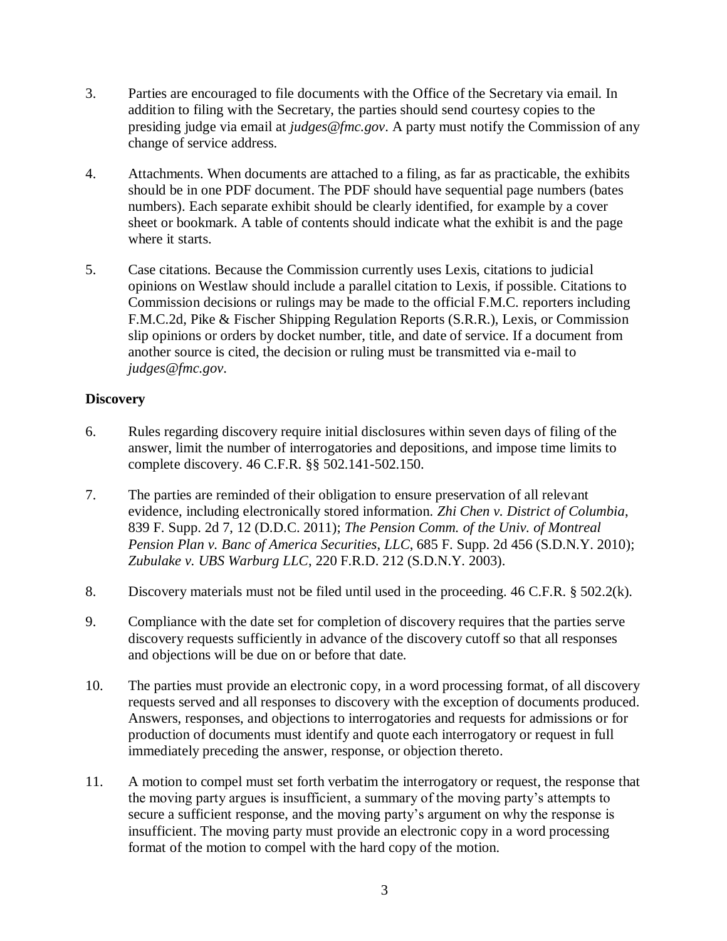- 3. Parties are encouraged to file documents with the Office of the Secretary via email. In addition to filing with the Secretary, the parties should send courtesy copies to the presiding judge via email at *judges@fmc.gov*. A party must notify the Commission of any change of service address.
- 4. Attachments. When documents are attached to a filing, as far as practicable, the exhibits should be in one PDF document. The PDF should have sequential page numbers (bates numbers). Each separate exhibit should be clearly identified, for example by a cover sheet or bookmark. A table of contents should indicate what the exhibit is and the page where it starts.
- 5. Case citations. Because the Commission currently uses Lexis, citations to judicial opinions on Westlaw should include a parallel citation to Lexis, if possible. Citations to Commission decisions or rulings may be made to the official F.M.C. reporters including F.M.C.2d, Pike & Fischer Shipping Regulation Reports (S.R.R.), Lexis, or Commission slip opinions or orders by docket number, title, and date of service. If a document from another source is cited, the decision or ruling must be transmitted via e-mail to *judges@fmc.gov*.

# **Discovery**

- 6. Rules regarding discovery require initial disclosures within seven days of filing of the answer, limit the number of interrogatories and depositions, and impose time limits to complete discovery. 46 C.F.R. §§ 502.141-502.150.
- 7. The parties are reminded of their obligation to ensure preservation of all relevant evidence, including electronically stored information. *Zhi Chen v. District of Columbia*, 839 F. Supp. 2d 7, 12 (D.D.C. 2011); *The Pension Comm. of the Univ. of Montreal Pension Plan v. Banc of America Securities*, *LLC*, 685 F. Supp. 2d 456 (S.D.N.Y. 2010); *Zubulake v. UBS Warburg LLC*, 220 F.R.D. 212 (S.D.N.Y. 2003).
- 8. Discovery materials must not be filed until used in the proceeding. 46 C.F.R. § 502.2(k).
- 9. Compliance with the date set for completion of discovery requires that the parties serve discovery requests sufficiently in advance of the discovery cutoff so that all responses and objections will be due on or before that date.
- 10. The parties must provide an electronic copy, in a word processing format, of all discovery requests served and all responses to discovery with the exception of documents produced. Answers, responses, and objections to interrogatories and requests for admissions or for production of documents must identify and quote each interrogatory or request in full immediately preceding the answer, response, or objection thereto.
- 11. A motion to compel must set forth verbatim the interrogatory or request, the response that the moving party argues is insufficient, a summary of the moving party's attempts to secure a sufficient response, and the moving party's argument on why the response is insufficient. The moving party must provide an electronic copy in a word processing format of the motion to compel with the hard copy of the motion.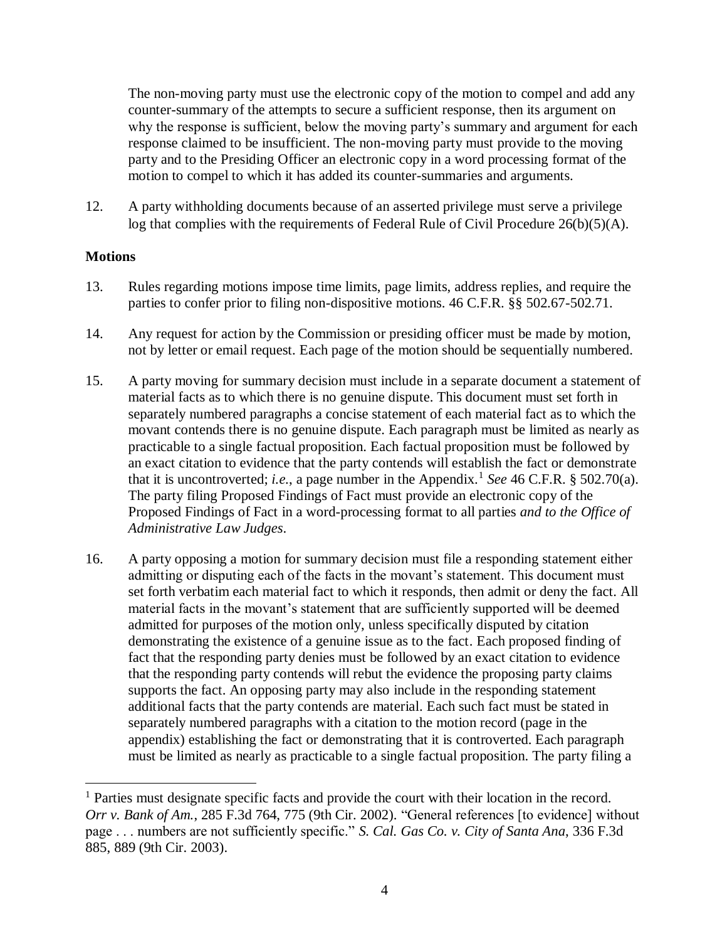The non-moving party must use the electronic copy of the motion to compel and add any counter-summary of the attempts to secure a sufficient response, then its argument on why the response is sufficient, below the moving party's summary and argument for each response claimed to be insufficient. The non-moving party must provide to the moving party and to the Presiding Officer an electronic copy in a word processing format of the motion to compel to which it has added its counter-summaries and arguments.

12. A party withholding documents because of an asserted privilege must serve a privilege log that complies with the requirements of Federal Rule of Civil Procedure 26(b)(5)(A).

### **Motions**

 $\overline{a}$ 

- 13. Rules regarding motions impose time limits, page limits, address replies, and require the parties to confer prior to filing non-dispositive motions. 46 C.F.R. §§ 502.67-502.71.
- 14. Any request for action by the Commission or presiding officer must be made by motion, not by letter or email request. Each page of the motion should be sequentially numbered.
- 15. A party moving for summary decision must include in a separate document a statement of material facts as to which there is no genuine dispute. This document must set forth in separately numbered paragraphs a concise statement of each material fact as to which the movant contends there is no genuine dispute. Each paragraph must be limited as nearly as practicable to a single factual proposition. Each factual proposition must be followed by an exact citation to evidence that the party contends will establish the fact or demonstrate that it is uncontroverted; *i.e.*, a page number in the Appendix.<sup>1</sup> See 46 C.F.R. § 502.70(a). The party filing Proposed Findings of Fact must provide an electronic copy of the Proposed Findings of Fact in a word-processing format to all parties *and to the Office of Administrative Law Judges*.
- 16. A party opposing a motion for summary decision must file a responding statement either admitting or disputing each of the facts in the movant's statement. This document must set forth verbatim each material fact to which it responds, then admit or deny the fact. All material facts in the movant's statement that are sufficiently supported will be deemed admitted for purposes of the motion only, unless specifically disputed by citation demonstrating the existence of a genuine issue as to the fact. Each proposed finding of fact that the responding party denies must be followed by an exact citation to evidence that the responding party contends will rebut the evidence the proposing party claims supports the fact. An opposing party may also include in the responding statement additional facts that the party contends are material. Each such fact must be stated in separately numbered paragraphs with a citation to the motion record (page in the appendix) establishing the fact or demonstrating that it is controverted. Each paragraph must be limited as nearly as practicable to a single factual proposition. The party filing a

<sup>&</sup>lt;sup>1</sup> Parties must designate specific facts and provide the court with their location in the record. *Orr v. Bank of Am.*, 285 F.3d 764, 775 (9th Cir. 2002). "General references [to evidence] without page . . . numbers are not sufficiently specific." *S. Cal. Gas Co. v. City of Santa Ana*, 336 F.3d 885, 889 (9th Cir. 2003).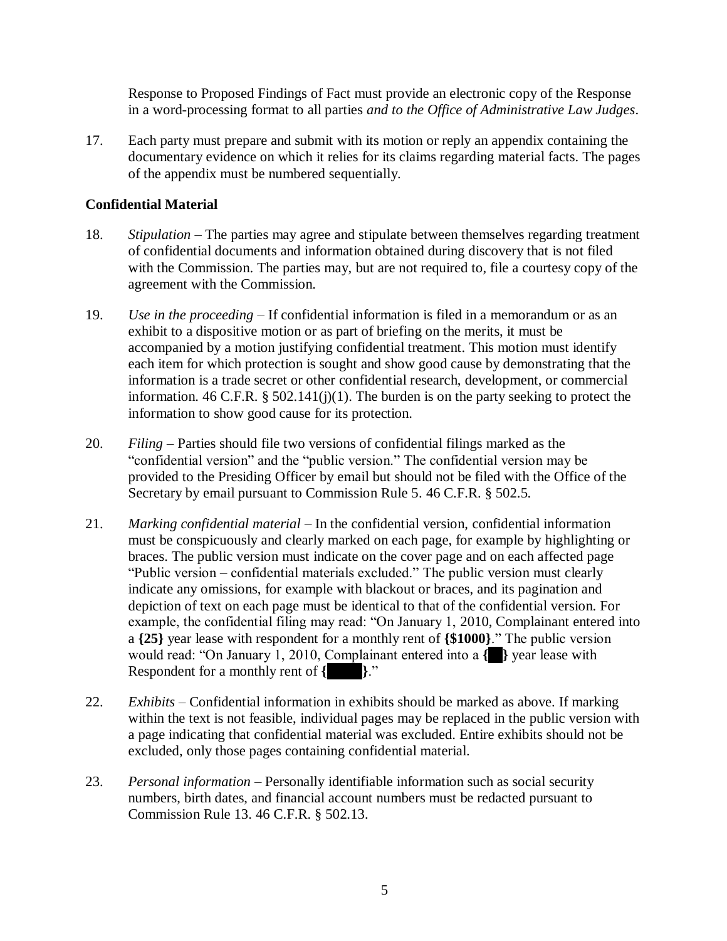Response to Proposed Findings of Fact must provide an electronic copy of the Response in a word-processing format to all parties *and to the Office of Administrative Law Judges*.

17. Each party must prepare and submit with its motion or reply an appendix containing the documentary evidence on which it relies for its claims regarding material facts. The pages of the appendix must be numbered sequentially.

# **Confidential Material**

- 18. *Stipulation* The parties may agree and stipulate between themselves regarding treatment of confidential documents and information obtained during discovery that is not filed with the Commission. The parties may, but are not required to, file a courtesy copy of the agreement with the Commission.
- 19. *Use in the proceeding* If confidential information is filed in a memorandum or as an exhibit to a dispositive motion or as part of briefing on the merits, it must be accompanied by a motion justifying confidential treatment. This motion must identify each item for which protection is sought and show good cause by demonstrating that the information is a trade secret or other confidential research, development, or commercial information. 46 C.F.R.  $\S$  502.141(j)(1). The burden is on the party seeking to protect the information to show good cause for its protection.
- 20. *Filing* Parties should file two versions of confidential filings marked as the "confidential version" and the "public version." The confidential version may be provided to the Presiding Officer by email but should not be filed with the Office of the Secretary by email pursuant to Commission Rule 5. 46 C.F.R. § 502.5.
- 21. *Marking confidential material* In the confidential version, confidential information must be conspicuously and clearly marked on each page, for example by highlighting or braces. The public version must indicate on the cover page and on each affected page "Public version – confidential materials excluded." The public version must clearly indicate any omissions, for example with blackout or braces, and its pagination and depiction of text on each page must be identical to that of the confidential version. For example, the confidential filing may read: "On January 1, 2010, Complainant entered into a **{25}** year lease with respondent for a monthly rent of **{\$1000}**." The public version would read: "On January 1, 2010, Complainant entered into a **{25}** year lease with Respondent for a monthly rent of **{\$1000}**."
- 22. *Exhibits* Confidential information in exhibits should be marked as above. If marking within the text is not feasible, individual pages may be replaced in the public version with a page indicating that confidential material was excluded. Entire exhibits should not be excluded, only those pages containing confidential material.
- 23. *Personal information* Personally identifiable information such as social security numbers, birth dates, and financial account numbers must be redacted pursuant to Commission Rule 13. 46 C.F.R. § 502.13.